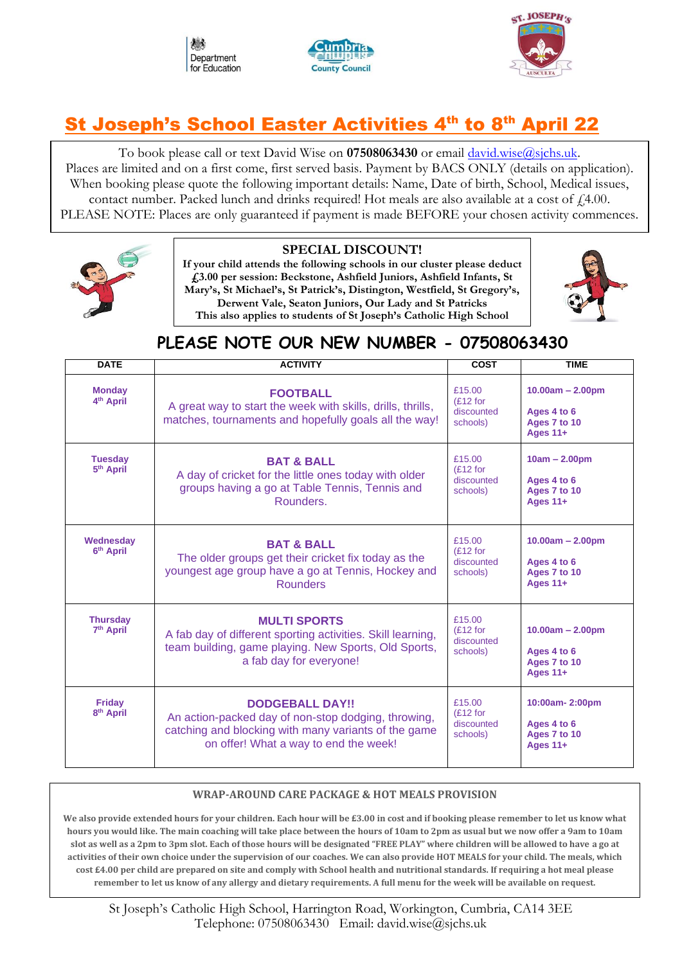





## St Joseph's School Easter Activities 4<sup>th</sup> to 8<sup>th</sup> April 22

To book please call or text David Wise on **07508063430** or email [david.wise@sjchs.uk.](mailto:david.wise@sjchs.uk) Places are limited and on a first come, first served basis. Payment by BACS ONLY (details on application). When booking please quote the following important details: Name, Date of birth, School, Medical issues, contact number. Packed lunch and drinks required! Hot meals are also available at a cost of  $f<sub>1</sub>4.00$ . PLEASE NOTE: Places are only guaranteed if payment is made BEFORE your chosen activity commences.



#### **SPECIAL DISCOUNT!**

**If your child attends the following schools in our cluster please deduct £3.00 per session: Beckstone, Ashfield Juniors, Ashfield Infants, St Mary's, St Michael's, St Patrick's, Distington, Westfield, St Gregory's, Derwent Vale, Seaton Juniors, Our Lady and St Patricks This also applies to students of St Joseph's Catholic High School**



### **PLEASE NOTE OUR NEW NUMBER - 07508063430**

| <b>DATE</b>                              | <b>ACTIVITY</b>                                                                                                                                                                                          | <b>COST</b>                                     | <b>TIME</b>                                                          |
|------------------------------------------|----------------------------------------------------------------------------------------------------------------------------------------------------------------------------------------------------------|-------------------------------------------------|----------------------------------------------------------------------|
| <b>Monday</b><br>4 <sup>th</sup> April   | <b>FOOTBALL</b><br>A great way to start the week with skills, drills, thrills,<br>matches, tournaments and hopefully goals all the way!                                                                  | £15.00<br>(E12 for<br>discounted<br>schools)    | $10.00am - 2.00pm$<br>Ages 4 to 6<br>Ages 7 to 10<br><b>Ages 11+</b> |
| <b>Tuesday</b><br>5 <sup>th</sup> April  | £15.00<br><b>BAT &amp; BALL</b><br>(E12 for<br>A day of cricket for the little ones today with older<br>discounted<br>groups having a go at Table Tennis, Tennis and<br>schools)<br>Rounders.            |                                                 | $10am - 2.00pm$<br>Ages 4 to 6<br>Ages 7 to 10<br>Ages $11+$         |
| Wednesday<br>6 <sup>th</sup> April       | £15.00<br><b>BAT &amp; BALL</b><br>$(E12)$ for<br>The older groups get their cricket fix today as the<br>discounted<br>youngest age group have a go at Tennis, Hockey and<br>schools)<br><b>Rounders</b> |                                                 | $10.00am - 2.00pm$<br>Ages 4 to 6<br>Ages 7 to 10<br>Ages $11+$      |
| <b>Thursday</b><br>7 <sup>th</sup> April | <b>MULTI SPORTS</b><br>A fab day of different sporting activities. Skill learning,<br>team building, game playing. New Sports, Old Sports,<br>a fab day for everyone!                                    | £15.00<br>$(E12)$ for<br>discounted<br>schools) | $10.00am - 2.00pm$<br>Ages 4 to 6<br>Ages 7 to 10<br>Ages 11+        |
| <b>Friday</b><br>8 <sup>th</sup> April   | <b>DODGEBALL DAY!!</b><br>An action-packed day of non-stop dodging, throwing,<br>catching and blocking with many variants of the game<br>on offer! What a way to end the week!                           | £15.00<br>$(E12)$ for<br>discounted<br>schools) | 10:00am-2:00pm<br>Ages 4 to 6<br>Ages 7 to 10<br>Ages $11+$          |

#### **WRAP-AROUND CARE PACKAGE & HOT MEALS PROVISION**

**We also provide extended hours for your children. Each hour will be £3.00 in cost and if booking please remember to let us know what hours you would like. The main coaching will take place between the hours of 10am to 2pm as usual but we now offer a 9am to 10am slot as well as a 2pm to 3pm slot. Each of those hours will be designated "FREE PLAY" where children will be allowed to have a go at activities of their own choice under the supervision of our coaches. We can also provide HOT MEALS for your child. The meals, which cost £4.00 per child are prepared on site and comply with School health and nutritional standards. If requiring a hot meal please remember to let us know of any allergy and dietary requirements. A full menu for the week will be available on request.**

St Joseph's Catholic High School, Harrington Road, Workington, Cumbria, CA14 3EE Telephone: 07508063430 Email: david.wise@sjchs.uk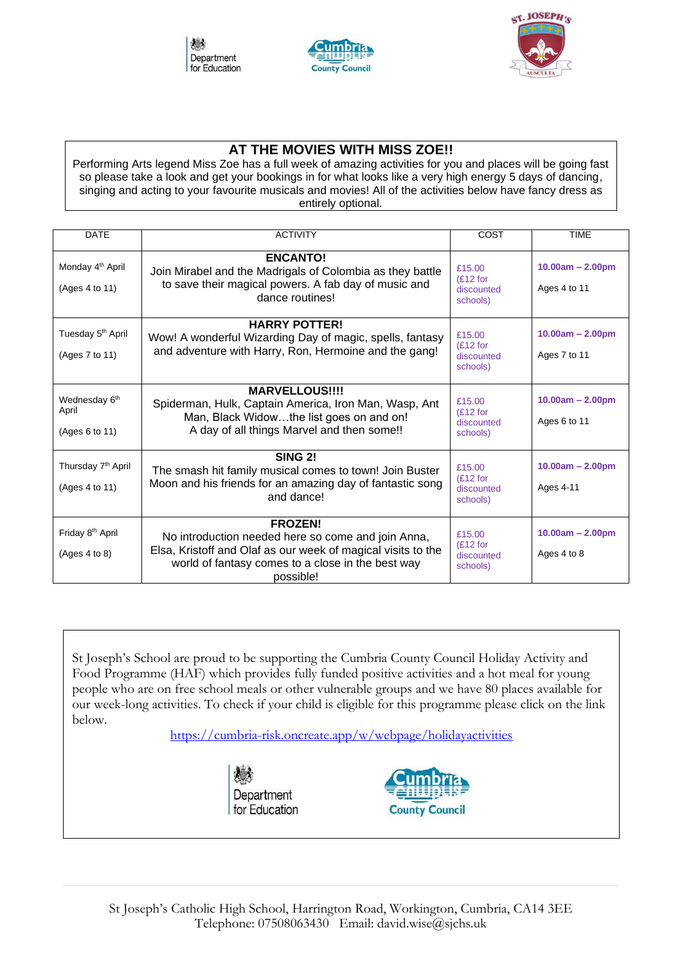





### **AT THE MOVIES WITH MISS ZOE!!**

Performing Arts legend Miss Zoe has a full week of amazing activities for you and places will be going fast so please take a look and get your bookings in for what looks like a very high energy 5 days of dancing, singing and acting to your favourite musicals and movies! All of the activities below have fancy dress as entirely optional.

| <b>DATE</b>                                          | <b>ACTIVITY</b>                                                                                                                                                                                        | COST                                            | <b>TIME</b>                        |  |
|------------------------------------------------------|--------------------------------------------------------------------------------------------------------------------------------------------------------------------------------------------------------|-------------------------------------------------|------------------------------------|--|
| Monday 4 <sup>th</sup> April<br>(Ages 4 to 11)       | <b>ENCANTO!</b><br>Join Mirabel and the Madrigals of Colombia as they battle<br>to save their magical powers. A fab day of music and<br>dance routines!                                                | £15.00<br>$(E12)$ for<br>discounted<br>schools) | $10.00am - 2.00pm$<br>Ages 4 to 11 |  |
| Tuesday 5 <sup>th</sup> April<br>(Ages 7 to 11)      | <b>HARRY POTTER!</b><br>Wow! A wonderful Wizarding Day of magic, spells, fantasy<br>and adventure with Harry, Ron, Hermoine and the gang!                                                              | £15.00<br>(E12 for<br>discounted<br>schools)    | $10.00am - 2.00pm$<br>Ages 7 to 11 |  |
| Wednesday 6 <sup>th</sup><br>April<br>(Ages 6 to 11) | <b>MARVELLOUS!!!!</b><br>Spiderman, Hulk, Captain America, Iron Man, Wasp, Ant<br>Man, Black Widowthe list goes on and on!<br>A day of all things Marvel and then some!!                               | £15.00<br>$(E12)$ for<br>discounted<br>schools) | $10.00am - 2.00pm$<br>Ages 6 to 11 |  |
| Thursday 7 <sup>th</sup> April<br>(Ages 4 to 11)     | <b>SING 2!</b><br>The smash hit family musical comes to town! Join Buster<br>Moon and his friends for an amazing day of fantastic song<br>and dance!                                                   | £15.00<br>(E12 for<br>discounted<br>schools)    | $10.00am - 2.00pm$<br>Ages 4-11    |  |
| Friday 8 <sup>th</sup> April<br>(Ages 4 to 8)        | <b>FROZEN!</b><br>No introduction needed here so come and join Anna,<br>Elsa, Kristoff and Olaf as our week of magical visits to the<br>world of fantasy comes to a close in the best way<br>possible! | £15.00<br>(E12 for<br>discounted<br>schools)    | $10.00am - 2.00pm$<br>Ages 4 to 8  |  |

St Joseph's School are proud to be supporting the Cumbria County Council Holiday Activity and Food Programme (HAF) which provides fully funded positive activities and a hot meal for young people who are on free school meals or other vulnerable groups and we have 80 places available for our week-long activities. To check if your child is eligible for this programme please click on the link below.

<https://cumbria-risk.oncreate.app/w/webpage/holidayactivities>